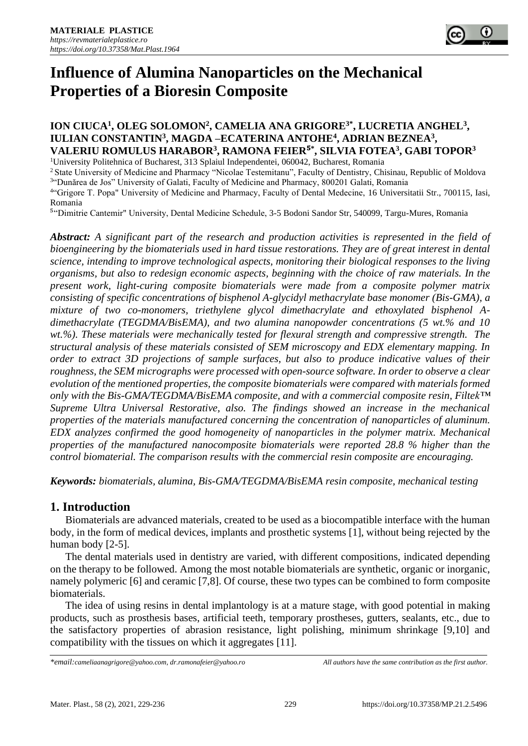

# **Influence of Alumina Nanoparticles on the Mechanical Properties of a Bioresin Composite**

## **ION CIUCA<sup>1</sup> , OLEG SOLOMON<sup>2</sup> , CAMELIA ANA GRIGORE3\* , LUCRETIA ANGHEL<sup>3</sup> , IULIAN CONSTANTIN<sup>3</sup> , MAGDA –ECATERINA ANTOHE<sup>4</sup> , ADRIAN BEZNEA<sup>3</sup> , VALERIU ROMULUS HARABOR<sup>3</sup> , RAMONA FEIER**⁵ **\* , SILVIA FOTEA<sup>3</sup> , GABI TOPOR<sup>3</sup>**

<sup>1</sup>University Politehnica of Bucharest, 313 Splaiul Independentei, 060042, Bucharest, Romania

<sup>2</sup> State University of Medicine and Pharmacy "Nicolae Testemitanu", Faculty of Dentistry, Chisinau, Republic of Moldova

3 "Dunărea de Jos" University of Galati, Faculty of Medicine and Pharmacy, 800201 Galati, Romania 4 "Grigore T. Popa" University of Medicine and Pharmacy, Faculty of Dental Medecine, 16 Universitatii Str., 700115, Iasi, Romania

<sup>5</sup>"Dimitrie Cantemir" University, Dental Medicine Schedule, 3-5 Bodoni Sandor Str, 540099, Targu-Mures, Romania

*Abstract: A significant part of the research and production activities is represented in the field of bioengineering by the biomaterials used in hard tissue restorations. They are of great interest in dental science, intending to improve technological aspects, monitoring their biological responses to the living organisms, but also to redesign economic aspects, beginning with the choice of raw materials. In the present work, light-curing composite biomaterials were made from a composite polymer matrix consisting of specific concentrations of bisphenol A-glycidyl methacrylate base monomer (Bis-GMA), a mixture of two co-monomers, triethylene glycol dimethacrylate and ethoxylated bisphenol Adimethacrylate (TEGDMA/BisEMA), and two alumina nanopowder concentrations (5 wt.% and 10 wt.%). These materials were mechanically tested for flexural strength and compressive strength. The structural analysis of these materials consisted of SEM microscopy and EDX elementary mapping. In order to extract 3D projections of sample surfaces, but also to produce indicative values of their roughness, the SEM micrographs were processed with open-source software. In order to observe a clear evolution of the mentioned properties, the composite biomaterials were compared with materials formed only with the Bis-GMA/TEGDMA/BisEMA composite, and with a commercial composite resin, Filtek™ Supreme Ultra Universal Restorative, also. The findings showed an increase in the mechanical properties of the materials manufactured concerning the concentration of nanoparticles of aluminum. EDX analyzes confirmed the good homogeneity of nanoparticles in the polymer matrix. Mechanical properties of the manufactured nanocomposite biomaterials were reported 28.8 % higher than the control biomaterial. The comparison results with the commercial resin composite are encouraging.*

*Keywords: biomaterials, alumina, Bis-GMA/TEGDMA/BisEMA resin composite, mechanical testing*

## **1. Introduction**

Biomaterials are advanced materials, created to be used as a biocompatible interface with the human body, in the form of medical devices, implants and prosthetic systems [1], without being rejected by the human body [2-5].

The dental materials used in dentistry are varied, with different compositions, indicated depending on the therapy to be followed. Among the most notable biomaterials are synthetic, organic or inorganic, namely polymeric [6] and ceramic [7,8]. Of course, these two types can be combined to form composite biomaterials.

The idea of using resins in dental implantology is at a mature stage, with good potential in making products, such as prosthesis bases, artificial teeth, temporary prostheses, gutters, sealants, etc., due to the satisfactory properties of abrasion resistance, light polishing, minimum shrinkage [9,10] and compatibility with the tissues on which it aggregates [11].

*<sup>\*</sup>email:[cameliaanagrigore@yahoo.com,](mailto:cameliaanagrigore@yahoo.com) [dr.ramonafeier@yahoo.ro](mailto:dr.ramonafeier@yahoo.ro) All authors have the same contribution as the first author.*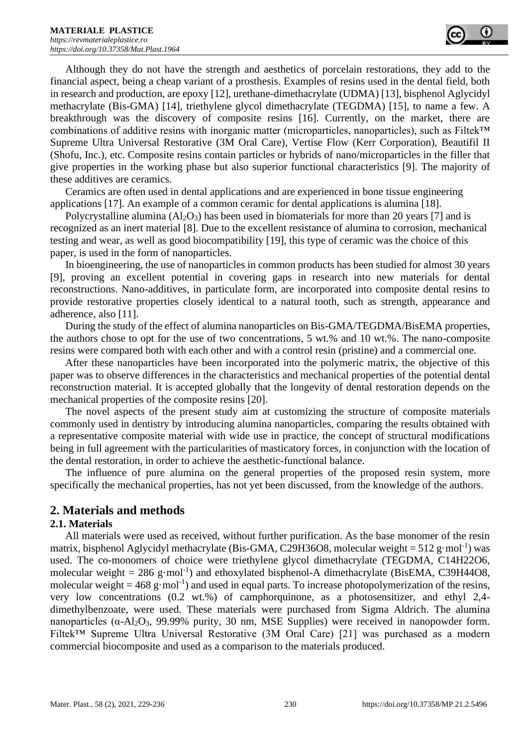Although they do not have the strength and aesthetics of porcelain restorations, they add to the financial aspect, being a cheap variant of a prosthesis. Examples of resins used in the dental field, both in research and production, are epoxy [12], urethane-dimethacrylate (UDMA) [13], bisphenol Aglycidyl methacrylate (Bis-GMA) [14], triethylene glycol dimethacrylate (TEGDMA) [15], to name a few. A breakthrough was the discovery of composite resins [16]. Currently, on the market, there are combinations of additive resins with inorganic matter (microparticles, nanoparticles), such as Filtek™ Supreme Ultra Universal Restorative (3M Oral Care), Vertise Flow (Kerr Corporation), Beautifil II (Shofu, Inc.), etc. Composite resins contain particles or hybrids of nano/microparticles in the filler that give properties in the working phase but also superior functional characteristics [9]. The majority of these additives are ceramics.

Ceramics are often used in dental applications and are experienced in bone tissue engineering applications [17]. An example of a common ceramic for dental applications is alumina [18].

Polycrystalline alumina  $(A<sub>12</sub>O<sub>3</sub>)$  has been used in biomaterials for more than 20 years [7] and is recognized as an inert material [8]. Due to the excellent resistance of alumina to corrosion, mechanical testing and wear, as well as good biocompatibility [19], this type of ceramic was the choice of this paper, is used in the form of nanoparticles.

In bioengineering, the use of nanoparticles in common products has been studied for almost 30 years [9], proving an excellent potential in covering gaps in research into new materials for dental reconstructions. Nano-additives, in particulate form, are incorporated into composite dental resins to provide restorative properties closely identical to a natural tooth, such as strength, appearance and adherence, also [11].

During the study of the effect of alumina nanoparticles on Bis-GMA/TEGDMA/BisEMA properties, the authors chose to opt for the use of two concentrations, 5 wt.% and 10 wt.%. The nano-composite resins were compared both with each other and with a control resin (pristine) and a commercial one.

After these nanoparticles have been incorporated into the polymeric matrix, the objective of this paper was to observe differences in the characteristics and mechanical properties of the potential dental reconstruction material. It is accepted globally that the longevity of dental restoration depends on the mechanical properties of the composite resins [20].

The novel aspects of the present study aim at customizing the structure of composite materials commonly used in dentistry by introducing alumina nanoparticles, comparing the results obtained with a representative composite material with wide use in practice, the concept of structural modifications being in full agreement with the particularities of masticatory forces, in conjunction with the location of the dental restoration, in order to achieve the aesthetic-functional balance.

The influence of pure alumina on the general properties of the proposed resin system, more specifically the mechanical properties, has not yet been discussed, from the knowledge of the authors.

## **2. Materials and methods**

#### **2.1. Materials**

All materials were used as received, without further purification. As the base monomer of the resin matrix, bisphenol Aglycidyl methacrylate (Bis-GMA, C29H36O8, molecular weight =  $512$  g·mol<sup>-1</sup>) was used. The co-monomers of choice were triethylene glycol dimethacrylate (TEGDMA, C14H22O6, molecular weight =  $286$  g·mol<sup>-1</sup>) and ethoxylated bisphenol-A dimethacrylate (BisEMA, C39H44O8, molecular weight = 468 g·mol<sup>-1</sup>) and used in equal parts. To increase photopolymerization of the resins, very low concentrations (0.2 wt.%) of camphorquinone, as a photosensitizer, and ethyl 2,4 dimethylbenzoate, were used. These materials were purchased from Sigma Aldrich. The alumina nanoparticles ( $α$ -Al<sub>2</sub>O<sub>3</sub>, 99.99% purity, 30 nm, MSE Supplies) were received in nanopowder form. Filtek™ Supreme Ultra Universal Restorative (3M Oral Care) [21] was purchased as a modern commercial biocomposite and used as a comparison to the materials produced.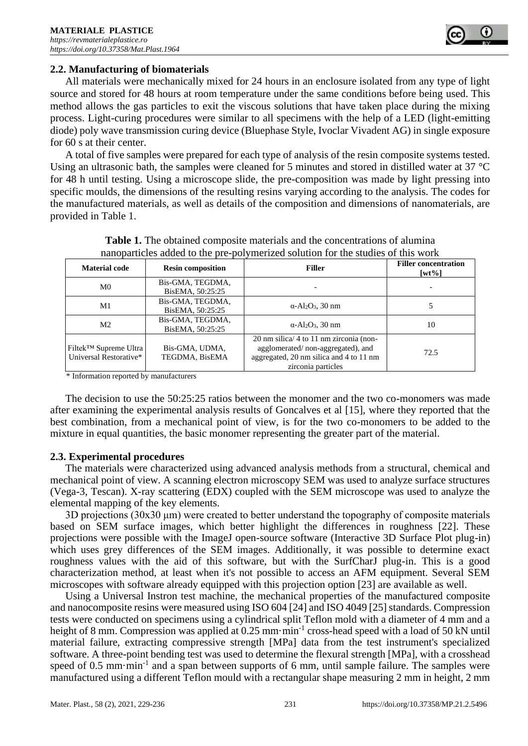

#### **2.2. Manufacturing of biomaterials**

All materials were mechanically mixed for 24 hours in an enclosure isolated from any type of light source and stored for 48 hours at room temperature under the same conditions before being used. This method allows the gas particles to exit the viscous solutions that have taken place during the mixing process. Light-curing procedures were similar to all specimens with the help of a LED (light-emitting diode) poly wave transmission curing device (Bluephase Style, Ivoclar Vivadent AG) in single exposure for 60 s at their center.

A total of five samples were prepared for each type of analysis of the resin composite systems tested. Using an ultrasonic bath, the samples were cleaned for 5 minutes and stored in distilled water at 37 °C for 48 h until testing. Using a microscope slide, the pre-composition was made by light pressing into specific moulds, the dimensions of the resulting resins varying according to the analysis. The codes for the manufactured materials, as well as details of the composition and dimensions of nanomaterials, are provided in Table 1.

| nanoparusiyo auuvu io ing piy pol}ingiilgu oolation iol ing olatiyo ol inio work                |                                      |                                                                                                                                               |                                      |  |  |
|-------------------------------------------------------------------------------------------------|--------------------------------------|-----------------------------------------------------------------------------------------------------------------------------------------------|--------------------------------------|--|--|
| <b>Material code</b>                                                                            | <b>Resin composition</b>             | <b>Filler</b>                                                                                                                                 | <b>Filler concentration</b><br>[wt%] |  |  |
| M0                                                                                              | Bis-GMA, TEGDMA,<br>BisEMA, 50:25:25 |                                                                                                                                               |                                      |  |  |
| M1                                                                                              | Bis-GMA, TEGDMA,<br>BisEMA, 50:25:25 | $\alpha$ -Al <sub>2</sub> O <sub>3</sub> , 30 nm                                                                                              |                                      |  |  |
| M <sub>2</sub>                                                                                  | Bis-GMA, TEGDMA,<br>BisEMA, 50:25:25 | $\alpha$ -Al <sub>2</sub> O <sub>3</sub> , 30 nm                                                                                              | 10                                   |  |  |
| Filtek <sup>™</sup> Supreme Ultra<br>Bis-GMA, UDMA,<br>Universal Restorative*<br>TEGDMA, BisEMA |                                      | 20 nm silica/ 4 to 11 nm zirconia (non-<br>agglomerated/non-aggregated), and<br>aggregated, 20 nm silica and 4 to 11 nm<br>zirconia particles | 72.5                                 |  |  |

| <b>Table 1.</b> The obtained composite materials and the concentrations of alumina |  |
|------------------------------------------------------------------------------------|--|
| nanoparticles added to the pre-polymerized solution for the studies of this work   |  |

\* Information reported by manufacturers

The decision to use the 50:25:25 ratios between the monomer and the two co-monomers was made after examining the experimental analysis results of Goncalves et al [15], where they reported that the best combination, from a mechanical point of view, is for the two co-monomers to be added to the mixture in equal quantities, the basic monomer representing the greater part of the material.

#### **2.3. Experimental procedures**

The materials were characterized using advanced analysis methods from a structural, chemical and mechanical point of view. A scanning electron microscopy SEM was used to analyze surface structures (Vega-3, Tescan). X-ray scattering (EDX) coupled with the SEM microscope was used to analyze the elemental mapping of the key elements.

3D projections (30x30 μm) were created to better understand the topography of composite materials based on SEM surface images, which better highlight the differences in roughness [22]. These projections were possible with the ImageJ open-source software (Interactive 3D Surface Plot plug-in) which uses grey differences of the SEM images. Additionally, it was possible to determine exact roughness values with the aid of this software, but with the SurfCharJ plug-in. This is a good characterization method, at least when it's not possible to access an AFM equipment. Several SEM microscopes with software already equipped with this projection option [23] are available as well.

Using a Universal Instron test machine, the mechanical properties of the manufactured composite and nanocomposite resins were measured using ISO 604 [24] and ISO 4049 [25] standards. Compression tests were conducted on specimens using a cylindrical split Teflon mold with a diameter of 4 mm and a height of 8 mm. Compression was applied at 0.25 mm·min<sup>-1</sup> cross-head speed with a load of 50 kN until material failure, extracting compressive strength [MPa] data from the test instrument's specialized software. A three-point bending test was used to determine the flexural strength [MPa], with a crosshead speed of 0.5 mm·min<sup>-1</sup> and a span between supports of 6 mm, until sample failure. The samples were manufactured using a different Teflon mould with a rectangular shape measuring 2 mm in height, 2 mm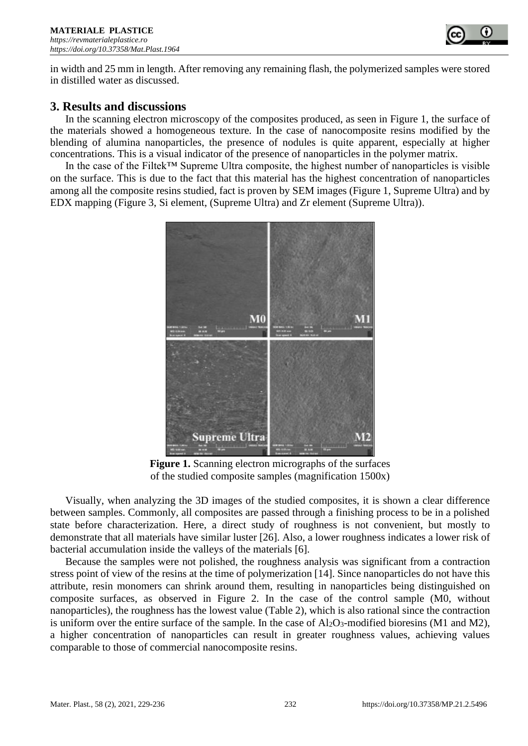

in width and 25 mm in length. After removing any remaining flash, the polymerized samples were stored in distilled water as discussed.

# **3. Results and discussions**

In the scanning electron microscopy of the composites produced, as seen in Figure 1, the surface of the materials showed a homogeneous texture. In the case of nanocomposite resins modified by the blending of alumina nanoparticles, the presence of nodules is quite apparent, especially at higher concentrations. This is a visual indicator of the presence of nanoparticles in the polymer matrix.

In the case of the Filtek™ Supreme Ultra composite, the highest number of nanoparticles is visible on the surface. This is due to the fact that this material has the highest concentration of nanoparticles among all the composite resins studied, fact is proven by SEM images (Figure 1, Supreme Ultra) and by EDX mapping (Figure 3, Si element, (Supreme Ultra) and Zr element (Supreme Ultra)).



Figure 1. Scanning electron micrographs of the surfaces of the studied composite samples (magnification 1500x)

Visually, when analyzing the 3D images of the studied composites, it is shown a clear difference between samples. Commonly, all composites are passed through a finishing process to be in a polished state before characterization. Here, a direct study of roughness is not convenient, but mostly to demonstrate that all materials have similar luster [26]. Also, a lower roughness indicates a lower risk of bacterial accumulation inside the valleys of the materials [6].

Because the samples were not polished, the roughness analysis was significant from a contraction stress point of view of the resins at the time of polymerization [14]. Since nanoparticles do not have this attribute, resin monomers can shrink around them, resulting in nanoparticles being distinguished on composite surfaces, as observed in Figure 2. In the case of the control sample (M0, without nanoparticles), the roughness has the lowest value (Table 2), which is also rational since the contraction is uniform over the entire surface of the sample. In the case of  $Al_2O_3$ -modified bioresins (M1 and M2), a higher concentration of nanoparticles can result in greater roughness values, achieving values comparable to those of commercial nanocomposite resins.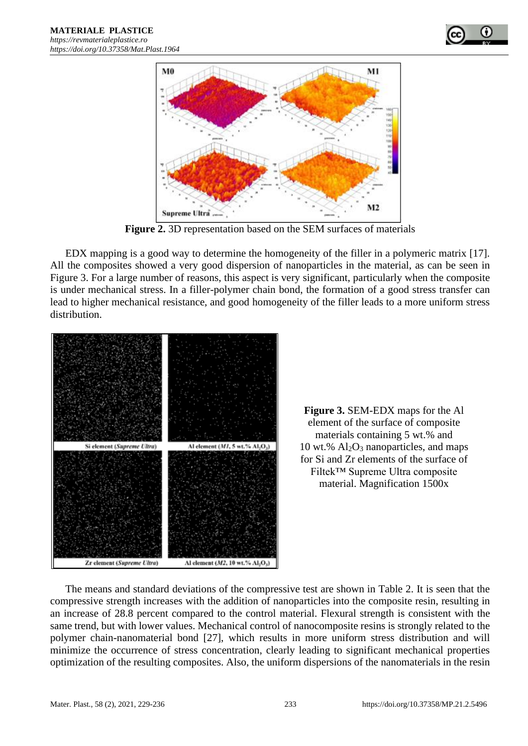



**Figure 2.** 3D representation based on the SEM surfaces of materials

EDX mapping is a good way to determine the homogeneity of the filler in a polymeric matrix [17]. All the composites showed a very good dispersion of nanoparticles in the material, as can be seen in Figure 3. For a large number of reasons, this aspect is very significant, particularly when the composite is under mechanical stress. In a filler-polymer chain bond, the formation of a good stress transfer can lead to higher mechanical resistance, and good homogeneity of the filler leads to a more uniform stress distribution.



**Figure 3.** SEM-EDX maps for the Al element of the surface of composite materials containing 5 wt.% and 10 wt.%  $Al_2O_3$  nanoparticles, and maps for Si and Zr elements of the surface of Filtek™ Supreme Ultra composite material. Magnification 1500x

The means and standard deviations of the compressive test are shown in Table 2. It is seen that the compressive strength increases with the addition of nanoparticles into the composite resin, resulting in an increase of 28.8 percent compared to the control material. Flexural strength is consistent with the same trend, but with lower values. Mechanical control of nanocomposite resins is strongly related to the polymer chain-nanomaterial bond [27], which results in more uniform stress distribution and will minimize the occurrence of stress concentration, clearly leading to significant mechanical properties optimization of the resulting composites. Also, the uniform dispersions of the nanomaterials in the resin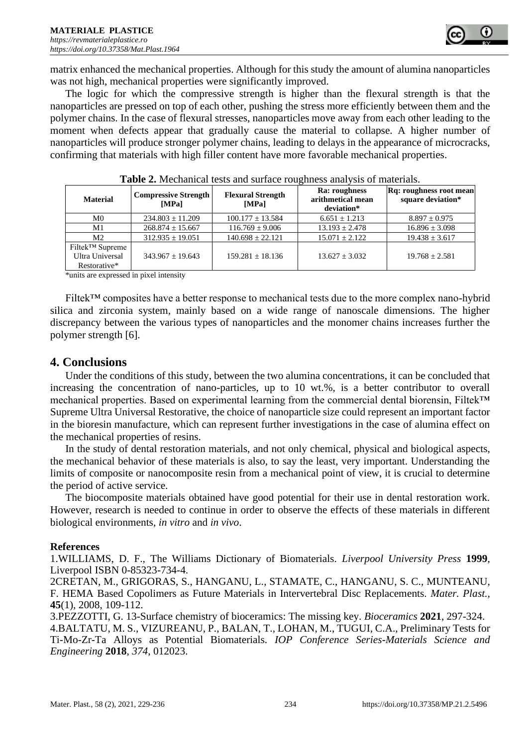

matrix enhanced the mechanical properties. Although for this study the amount of alumina nanoparticles was not high, mechanical properties were significantly improved.

The logic for which the compressive strength is higher than the flexural strength is that the nanoparticles are pressed on top of each other, pushing the stress more efficiently between them and the polymer chains. In the case of flexural stresses, nanoparticles move away from each other leading to the moment when defects appear that gradually cause the material to collapse. A higher number of nanoparticles will produce stronger polymer chains, leading to delays in the appearance of microcracks, confirming that materials with high filler content have more favorable mechanical properties.

| <b>Material</b>             | <b>Compressive Strength</b><br><b>IMPal</b> | <b>Flexural Strength</b><br>[MPa] | <b>Ra:</b> roughness<br>arithmetical mean<br>deviation* | <b>Rq:</b> roughness root mean<br>square deviation* |
|-----------------------------|---------------------------------------------|-----------------------------------|---------------------------------------------------------|-----------------------------------------------------|
| M0                          | $234.803 \pm 11.209$                        | $100.177 + 13.584$                | $6.651 + 1.213$                                         | $8.897 \pm 0.975$                                   |
| M1                          | $268.874 \pm 15.667$                        | $116.769 \pm 9.006$               | $13.193 \pm 2.478$                                      | $16.896 \pm 3.098$                                  |
| M <sub>2</sub>              | $312.935 \pm 19.051$                        | $140.698 \pm 22.121$              | $15.071 + 2.122$                                        | $19.438 \pm 3.617$                                  |
| Filtek <sup>™</sup> Supreme |                                             |                                   |                                                         |                                                     |
| Ultra Universal             | $343.967 + 19.643$                          | $159.281 + 18.136$                | $13.627 + 3.032$                                        | $19.768 + 2.581$                                    |
| Restorative*                |                                             |                                   |                                                         |                                                     |

| Table 2. Mechanical tests and surface roughness analysis of materials. |  |  |
|------------------------------------------------------------------------|--|--|
|------------------------------------------------------------------------|--|--|

\*units are expressed in pixel intensity

Filtek™ composites have a better response to mechanical tests due to the more complex nano-hybrid silica and zirconia system, mainly based on a wide range of nanoscale dimensions. The higher discrepancy between the various types of nanoparticles and the monomer chains increases further the polymer strength [6].

## **4. Conclusions**

Under the conditions of this study, between the two alumina concentrations, it can be concluded that increasing the concentration of nano-particles, up to 10 wt.%, is a better contributor to overall mechanical properties. Based on experimental learning from the commercial dental biorensin, Filtek™ Supreme Ultra Universal Restorative, the choice of nanoparticle size could represent an important factor in the bioresin manufacture, which can represent further investigations in the case of alumina effect on the mechanical properties of resins.

In the study of dental restoration materials, and not only chemical, physical and biological aspects, the mechanical behavior of these materials is also, to say the least, very important. Understanding the limits of composite or nanocomposite resin from a mechanical point of view, it is crucial to determine the period of active service.

The biocomposite materials obtained have good potential for their use in dental restoration work. However, research is needed to continue in order to observe the effects of these materials in different biological environments, *in vitro* and *in vivo*.

#### **References**

1.WILLIAMS, D. F., The Williams Dictionary of Biomaterials. *Liverpool University Press* **1999**, Liverpool ISBN 0-85323-734-4.

2CRETAN, M., GRIGORAS, S., HANGANU, L., STAMATE, C., HANGANU, S. C., MUNTEANU, F. HEMA Based Copolimers as Future Materials in Intervertebral Disc Replacements. *Mater. Plast.,* **45**(1), 2008, 109-112.

3.PEZZOTTI, G. 13-Surface chemistry of bioceramics: The missing key. *Bioceramics* **2021**, 297-324. 4.BALTATU, M. S., VIZUREANU, P., BALAN, T., LOHAN, M., TUGUI, C.A., Preliminary Tests for Ti-Mo-Zr-Ta Alloys as Potential Biomaterials. *IOP Conference Series-Materials Science and Engineering* **2018**, *374*, 012023.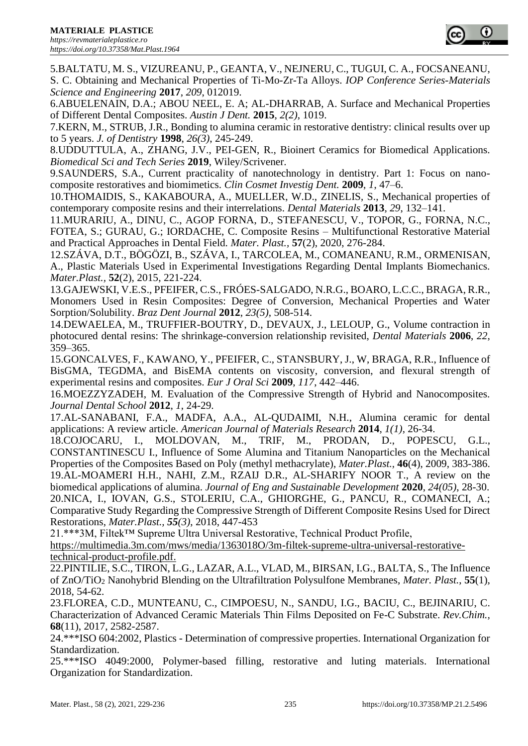

5.BALTATU, M. S., VIZUREANU, P., GEANTA, V., NEJNERU, C., TUGUI, C. A., FOCSANEANU, S. C. Obtaining and Mechanical Properties of Ti-Mo-Zr-Ta Alloys. *IOP Conference Series-Materials Science and Engineering* **2017**, *209*, 012019.

6.ABUELENAIN, D.A.; ABOU NEEL, E. A; AL-DHARRAB, A. Surface and Mechanical Properties of Different Dental Composites. *Austin J Dent.* **2015**, *2(2)*, 1019.

7.KERN, M., STRUB, J.R., Bonding to alumina ceramic in restorative dentistry: clinical results over up to 5 years. *J. of Dentistry* **1998**, *26(3)*, 245-249.

8.UDDUTTULA, A., ZHANG, J.V., PEI-GEN, R., Bioinert Ceramics for Biomedical Applications. *Biomedical Sci and Tech Series* **2019**, Wiley/Scrivener.

9.SAUNDERS, S.A., Current practicality of nanotechnology in dentistry. Part 1: Focus on nanocomposite restoratives and biomimetics. *Clin Cosmet Investig Dent.* **2009**, *1*, 47–6.

10.THOMAIDIS, S., KAKABOURA, A., MUELLER, W.D., ZINELIS, S., Mechanical properties of contemporary composite resins and their interrelations. *Dental Materials* **2013**, *29*, 132–141.

11.MURARIU, A., DINU, C., AGOP FORNA, D., STEFANESCU, V., TOPOR, G., FORNA, N.C., FOTEA, S.; GURAU, G.; IORDACHE, C. Composite Resins – Multifunctional Restorative Material and Practical Approaches in Dental Field. *Mater. Plast.,* **57**(2), 2020, 276-284.

12.SZÁVA, D.T., BÖGÖZI, B., SZÁVA, I., TARCOLEA, M., COMANEANU, R.M., ORMENISAN, A., Plastic Materials Used in Experimental Investigations Regarding Dental Implants Biomechanics. *Mater.Plast.,* **52**(2), 2015, 221-224.

13.GAJEWSKI, V.E.S., PFEIFER, C.S., FRÓES-SALGADO, N.R.G., BOARO, L.C.C., BRAGA, R.R., Monomers Used in Resin Composites: Degree of Conversion, Mechanical Properties and Water Sorption/Solubility. *Braz Dent Journal* **2012**, *23(5)*, 508-514.

14.DEWAELEA, M., TRUFFIER-BOUTRY, D., DEVAUX, J., LELOUP, G., Volume contraction in photocured dental resins: The shrinkage-conversion relationship revisited, *Dental Materials* **2006**, *22*, 359–365.

15.GONCALVES, F., KAWANO, Y., PFEIFER, C., STANSBURY, J., W, BRAGA, R.R., Influence of BisGMA, TEGDMA, and BisEMA contents on viscosity, conversion, and flexural strength of experimental resins and composites. *Eur J Oral Sci* **2009**, *117*, 442–446.

16.MOEZZYZADEH, M. Evaluation of the Compressive Strength of Hybrid and Nanocomposites. *Journal Dental School* **2012**, *1*, 24-29.

17.AL-SANABANI, F.A., MADFA, A.A., AL-QUDAIMI, N.H., Alumina ceramic for dental applications: A review article. *American Journal of Materials Research* **2014**, *1(1)*, 26-34.

18.COJOCARU, I., MOLDOVAN, M., TRIF, M., PRODAN, D., POPESCU, G.L., CONSTANTINESCU I., Influence of Some Alumina and Titanium Nanoparticles on the Mechanical Properties of the Composites Based on Poly (methyl methacrylate), *Mater.Plast.,* **46**(4), 2009, 383-386. 19.AL-MOAMERI H.H., NAHI, Z.M., RZAIJ D.R., AL-SHARIFY NOOR T., A review on the biomedical applications of alumina. *Journal of Eng and Sustainable Development* **2020**, *24(05)*, 28-30. 20.NICA, I., IOVAN, G.S., STOLERIU, C.A., GHIORGHE, G., PANCU, R., COMANECI, A.; Comparative Study Regarding the Compressive Strength of Different Composite Resins Used for Direct Restorations, *Mater.Plast., 55(3)*, 2018, 447-453

21.\*\*\*3M, Filtek™ Supreme Ultra Universal Restorative, Technical Product Profile,

https://multimedia.3m.com/mws/media/1363018O/3m-filtek-supreme-ultra-universal-restorativetechnical-product-profile.pdf.

22.PINTILIE, S.C., TIRON, L.G., LAZAR, A.L., VLAD, M., BIRSAN, I.G., BALTA, S., The Influence of ZnO/TiO<sup>2</sup> Nanohybrid Blending on the Ultrafiltration Polysulfone Membranes, *Mater. Plast.*, **55**(1), 2018, 54-62.

23.FLOREA, C.D., MUNTEANU, C., CIMPOESU, N., SANDU, I.G., BACIU, C., BEJINARIU, C. Characterization of Advanced Ceramic Materials Thin Films Deposited on Fe-C Substrate. *Rev.Chim.,* **68**(11), 2017, 2582-2587.

24.\*\*\*ISO 604:2002, Plastics - Determination of compressive properties. International Organization for Standardization.

25.\*\*\*ISO 4049:2000, Polymer-based filling, restorative and luting materials. International Organization for Standardization.